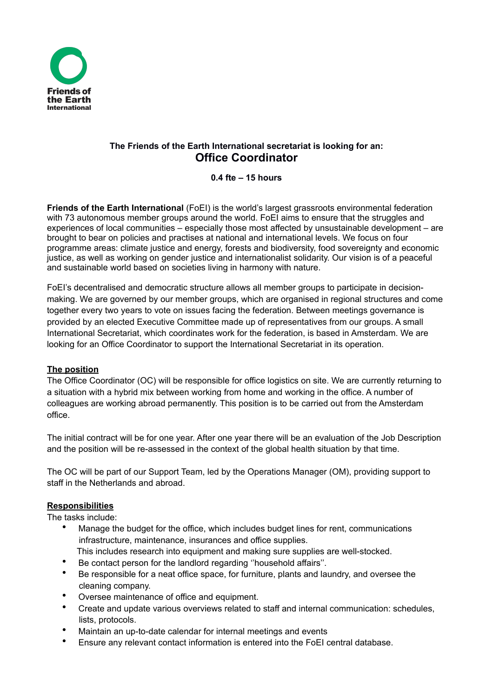

# **The Friends of the Earth International secretariat is looking for an: Office Coordinator**

**0.4 fte – 15 hours**

**Friends of the Earth International** (FoEI) is the world's largest grassroots environmental federation with 73 autonomous member groups around the world. FoEI aims to ensure that the struggles and experiences of local communities – especially those most affected by unsustainable development – are brought to bear on policies and practises at national and international levels. We focus on four programme areas: climate justice and energy, forests and biodiversity, food sovereignty and economic justice, as well as working on gender justice and internationalist solidarity. Our vision is of a peaceful and sustainable world based on societies living in harmony with nature.

FoEI's decentralised and democratic structure allows all member groups to participate in decisionmaking. We are governed by our member groups, which are organised in regional structures and come together every two years to vote on issues facing the federation. Between meetings governance is provided by an elected Executive Committee made up of representatives from our groups. A small International Secretariat, which coordinates work for the federation, is based in Amsterdam. We are looking for an Office Coordinator to support the International Secretariat in its operation.

# **The position**

The Office Coordinator (OC) will be responsible for office logistics on site. We are currently returning to a situation with a hybrid mix between working from home and working in the office. A number of colleagues are working abroad permanently. This position is to be carried out from the Amsterdam office.

The initial contract will be for one year. After one year there will be an evaluation of the Job Description and the position will be re-assessed in the context of the global health situation by that time.

The OC will be part of our Support Team, led by the Operations Manager (OM), providing support to staff in the Netherlands and abroad.

# **Responsibilities**

The tasks include:

- Manage the budget for the office, which includes budget lines for rent, communications infrastructure, maintenance, insurances and office supplies.
- This includes research into equipment and making sure supplies are well-stocked.
- Be contact person for the landlord regarding ''household affairs''.
- Be responsible for a neat office space, for furniture, plants and laundry, and oversee the cleaning company.
- Oversee maintenance of office and equipment.
- Create and update various overviews related to staff and internal communication: schedules, lists, protocols.
- Maintain an up-to-date calendar for internal meetings and events
- Ensure any relevant contact information is entered into the FoEI central database.